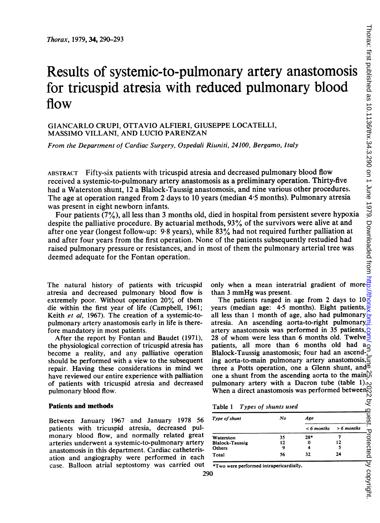# Results of systemic-to-pulmonary artery anastomosis for tricuspid atresia with reduced pulmonary blood flow

## GIANCARLO CRUPI, OTTAVIO ALFIERI, GIUSEPPE LOCATELLI, MASSIMO VILLANI, AND LUCIO PARENZAN

From the Department of Cardiac Surgery, Ospedali Riuniti, 24100, Bergamo, Italy

ABSTRACT Fifty-six patients with tricuspid atresia and decreased pulmonary blood flow received a systemic-to-pulmonary artery anastomosis as a preliminary operation. Thirty-five had a Waterston shunt, 12 a Blalock-Taussig anastomosis, and nine various other procedures. The age at operation ranged from 2 days to 10 years (median 4-5 months). Pulmonary atresia was present in eight newborn infants.

Four patients (7%), all less than 3 months old, died in hospital from persistent severe hypoxia despite the palliative procedure. By actuarial methods, 93% of the survivors were alive at and after one year (longest follow-up: 9-8 years), while 83% had not required further palliation at and after four years from the first operation. None of the patients subsequently restudied had raised pulmonary pressure or resistances, and in most of them the pulmonary arterial tree was deemed adequate for the Fontan operation.

The natural history of patients with tricuspid atresia and decreased pulmonary blood flow is extremely poor. Without operation 20% of them die within the first year of life (Campbell, 1961; Keith et al, 1967). The creation of a systemic-topulmonary artery anastomosis early in life is therefore mandatory in most patients.

After the report by Fontan and Baudet (1971), the physiological correction of tricuspid atresia has become a reality, and any palliative operation should be performed with a view to the subsequent repair. Having these considerations in mind we have reviewed our entire experience with palliation of patients with tricuspid atresia and decreased pulmonary blood flow.

#### Patients and methods

Between January 1967 and January 1978 56 patients with tricuspid atresia, decreased pulmonary blood flow, and normally related great arteries underwent a systemic-to-pulmonary artery anastomosis in this department. Cardiac catheterisation and angiography were performed in each case. Balloon atrial septostomy was carried out only when a mean interatrial gradient of more than <sup>3</sup> mmHg was present.

The patients ranged in age from 2 days to 10 years (median age: 4.5 months). Eight patients,  $\frac{1}{x}$ all less than 1 month of age, also had pulmonary $\frac{1}{x}$ atresia. An ascending aorta-to-right pulmonary $\overline{\underline{3}}$ artery anastomosis was performed in 35 patients,  $\alpha$ 28 of whom were less than 6 months old. Twelve  $\geq$ patients, all more than 6 months old had a Blalock-Taussig anastomosis; four had an ascend- $\frac{1}{2}$ ing aorta-to-main pulmonary artery anastomosis, three a Potts operation, one a Glenn shunt, and  $\vec{\phi}$ one a shunt from the ascending aorta to the main  $\mathcal{O}_N$ <br>pulmonary artery with a Dacron tube (table 1). pulmonary artery with a Dacron tube (table 1). When a direct anastomosis was performed between

#### Table <sup>1</sup> Types of shunts used

| Type of shunt          | No | Age          |              |
|------------------------|----|--------------|--------------|
|                        |    | $< 6$ months | $> 6$ months |
| Waterston              | 35 | $28*$        |              |
| <b>Blalock-Taussig</b> | 12 | 0            | 12           |
| Others                 | 9  |              |              |
| Total                  | 56 | 32           | 24           |

\*Two were performed intrapericardially.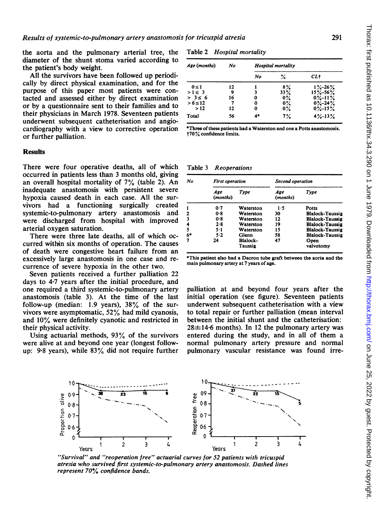the aorta and the pulmonary arterial tree, the diameter of the shunt stoma varied according to the patient's body weight.

All the survivors have been followed up periodically by direct physical examination, and for the purpose of this paper most patients were contacted and assessed either by direct examination or by a questionnaire sent to their families and to their physicians in March 1978. Seventeen patients underwent subsequent catheterisation and angiocardiography with a view to corrective operation or further palliation.

## **Results**

There were four operative deaths, all of which occurred in patients less than 3 months old, giving an overall hospital mortality of 7% (table 2). An inadequate anastomosis with persistent severe hypoxia caused death in each case. All the survivors had a functioning surgically created systemic-to-pulmonary artery anastomosis and were discharged from hospital with improved arterial oxygen saturation.

There were three late deaths, all of which occurred within six months of operation. The causes of death were congestive heart failure from an excessively large anastomosis in one case and recurrence of severe hypoxia in the other two.

Seven patients received a further palliation 22 days to 4-7 years after the initial procedure, and one required a third systemic-to-pulmonary artery anastomosis (table 3). At the time of the last follow-up (median: 1.9 years), 38% of the survivors were asymptomatic, 52% had mild cyanosis, and 10% were definitely cyanotic and restricted in their physical activity.

Using actuarial methods, 93% of the survivors were alive at and beyond one year (longest followup: 9.8 years), while 83% did not require further

Table 2 Hospital mortality

| Age (months) | No | Hospital mortality |       |               |  |
|--------------|----|--------------------|-------|---------------|--|
|              |    | No                 | ℅     | CL+           |  |
| $0 \leq 1$   | 12 |                    | 8%    | $1\% - 26\%$  |  |
| $>1 \leq 3$  | 9  | 3                  | 33%   | $15\% - 56\%$ |  |
| $> 3 \leq 6$ | 16 | 0                  | 0%    | $0\% - 11\%$  |  |
| $> 6 \le 12$ |    | 0                  | $0\%$ | $0\% - 24\%$  |  |
| >12          | 12 | 0                  | 0%    | $0\% - 15\%$  |  |
| Total        | 56 | 4*                 | 7%    | $4\% - 13\%$  |  |

<sup>\*</sup>Three of these patients had a Waterston and one a Potts anastomosis. t70% confidence limits.

Table 3 Reoperations

| No |                 | <b>First operation</b> |                 | Second operation       |  |  |
|----|-----------------|------------------------|-----------------|------------------------|--|--|
|    | Age<br>(months) | Type                   | Age<br>(months) | Type                   |  |  |
| 1  | 0.7             | Waterston              | 1.5             | Potts                  |  |  |
| 2  | $0-8$           | Waterston              | 30              | <b>Blalock-Taussig</b> |  |  |
| 3  | 0.8             | Waterston              | 12              | <b>Blalock-Taussig</b> |  |  |
| 4  | 2.8             | Waterston              | 19              | <b>Blalock-Taussig</b> |  |  |
| 5  | $5 - 1$         | Waterston              | 15              | <b>Blalock-Taussig</b> |  |  |
| 6* | 5.2             | Glenn                  | 58              | <b>Blalock-Taussig</b> |  |  |
| 7  | 24              | Blalock-<br>Taussig    | 47              | Open<br>valvotomy      |  |  |

This patient also had a Dacron tube graft between the aorta and the main pulmonary artery at 7 years of age.

palliation at and beyond four years after the initial operation (see figure). Seventeen patients underwent subsequent catheterisation with a view to total repair or further palliation (mean interval between the initial shunt and the catheterisation:  $28\pm14.6$  months). In 12 the pulmonary artery was entered during the study, and in all of them a normal pulmonary artery pressure and normal pulmonary vascular resistance was found irre-



"Survival" and "reoperation free" actuarial curves for 52 patients with tricuspid atresia who survived first systemic-to-pulmonary artery anastomosis. Dashed lines represent 70% confidence bands.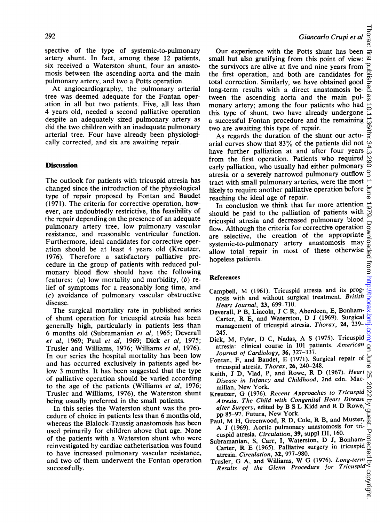spective of the type of systemic-to-pulmonary artery shunt. In fact, among these 12 patients, six received a Waterston shunt, four an anastomosis between the ascending aorta and the main pulmonary artery, and two a Potts operation.

At angiocardiography, the pulmonary arterial tree was deemed adequate for the Fontan operation in all but two patients. Five, all less than 4 years old, needed a second palliative operation despite an adequately sized pulmonary artery as did the two children with an inadequate pulmonary arterial tree. Four have already been physiologically corrected, and six are awaiting repair.

## **Discussion**

The outlook for patients with tricuspid atresia has changed since the introduction of the physiological type of repair proposed by Fontan and Baudet (1971). The criteria for corrective operation, however, are undoubtedly restrictive, the feasibility of the repair depending on the presence of an adequate pulmonary artery tree, low pulmonary vascular resistance, and reasonable ventricular function. Furthermore, ideal candidates for corrective operation should be at least 4 years old (Kreutzer, 1976). Therefore a satisfactory palliative procedure in the group of patients with reduced pulmonary blood flow should have the following features: (a) low mortality and morbidity,  $(b)$  relief of symptoms for a reasonably long time, and (c) avoidance of pulmonary vascular obstructive disease.

The surgical mortality rate in published series of shunt operation for tricuspid atresia has been generally high, particularly in patients less than 6 months old (Subramanian et al, 1965; Deverall et al, 1969; Paul et al, 1969; Dick et al, 1975; Trusler and Williams, 1976; Williams et al, 1976). In our series the hospital mortality has been low and has occurred exclusively in patients aged below 3 months. It has been suggested that the type of palliative operation should be varied according to the age of the patients (Williams et al, 1976; Trusler and Williams, 1976), the Waterston shunt being usually preferred in the small patients.

In this series the Waterston shunt was the procedure of choice in patients less than 6 months old, whereas the Blalock-Taussig anastomosis has been used primarily for children above that age. None of the patients with a Waterston shunt who were reinvestigated by cardiac catheterisation was found to have increased pulmonary vascular resistance, and two of them underwent the Fontan operation successfully.

Our experience with the Potts shunt has been small but also gratifying from this point of view: the survivors are alive at five and nine years from  $\overline{e}$ the first operation, and both are candidates for total correction. Similarly, we have obtained good long-term results with a direct anastomosis between the ascending aorta and the main pulmonary artery; among the four patients who had this type of shunt, two have already undergone a successful Fontan procedure and the remaining two are awaiting this type of repair. on June 25, 2022 by guest. Protected by copyright. <http://thorax.bmj.com/> Thorax: first published as 10.1136/thx.34.3.290 on 1 June 1979. Downloaded from

As regards the duration of the shunt our actuarial curves show that 83% of the patients did not have further palliation at and after four years from the first operation. Patients who required early palliation, who usually had either pulmonary  $\epsilon$ atresia or a severely narrowed pulmonary outflow tract with small pulmonary arteries, were the most likely to require another palliative operation before ₹ reaching the ideal age of repair.

In conclusion we think that far more attention  $\vec{0}$ should be paid to the palliation of patients with tricuspid atresia and decreased pulmonary blood Ō flow. Although the criteria for corrective operation are selective, the creation of the appropriate  $\frac{3}{2}$ <br>systemic-to-pulmonary artery anastomosis may  $\frac{3}{2}$ <br>allow total repair in most of these otherwise  $\frac{3}{2}$ <br>hopeless patients.<br>**References**<br>Campbell, M (1961). T systemic-to-pulmonary artery anastomosis may allow total repair in most of these otherwise hopeless patients.

### References

- Campbell, M (1961). Tricuspid atresia and its prognosis with and without surgical treatment. British Heart Journal, 23, 699-710.
- Deverall, P B, Lincoln, <sup>J</sup> C R, Aberdeen, E, Bonham-Carter, R E, and Waterston, D <sup>J</sup> (1969). Surgical management of tricuspid atresia. Thorax, 24, 239-245.
- Dick, M, Fyler, D C, Nadas, A <sup>S</sup> (1975). Tricuspid atresia: clinical course in 101 patients. American  $\overline{\mathsf{C}}$ Journal of Cardiology, 36, 327-337.
- Fontan, F, and Baudet, E (1971). Surgical repair of tricuspid atresia. Thorax, 26, 240-248.
- Keith, <sup>J</sup> D, Vlad, P, and Rowe, R D (1967). Heart  $\mathbf{v}$ Disease in Infancy and Childhood, 2nd edn. Mac-2022 millan, New York.
- Kreutzer, G (1976). Recent Approaches to Tricuspid Atresia. The Child with Congenital Heart Disease after Surgery, edited by B <sup>S</sup> L Kidd and R D Rowe, pp 85-97. Futura, New York.
- Paul, M H, Greenwood, R D, Cole, R B, and Muster,  $\frac{6}{9}$ A <sup>J</sup> (1969). Aortic pulmonary anastomosis for tri-᠊ᠣ cuspid atresia. Circulation, 39, suppl III, 160.
- Subramanian, S, Carr, I, Waterston, D J, Bonhambramanian, S. Carr, I. waterston, D. J. Bolliamatresia. Circulation, 32, 977-980.
- Trusler, G A, and Williams, W G (1976). Long-term  $\overline{C}$ <br>Results of the Glenn Procedure for Tricuspid  $\overline{C}$ <br> $\overline{C}$ <br> $\overline{C}$ Results of the Glenn Procedure for Tricuspid